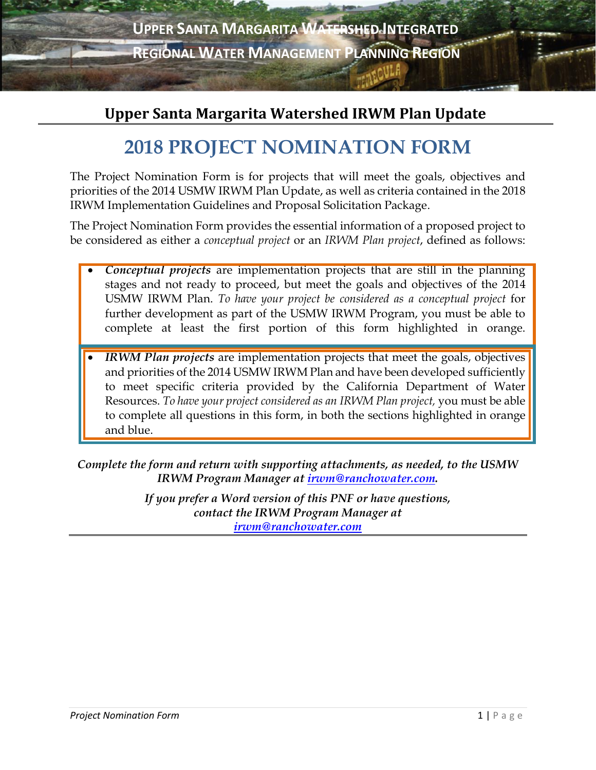

### **Upper Santa Margarita Watershed IRWM Plan Update**

# **2018 PROJECT NOMINATION FORM**

The Project Nomination Form is for projects that will meet the goals, objectives and priorities of the 2014 USMW IRWM Plan Update, as well as criteria contained in the 2018 IRWM Implementation Guidelines and Proposal Solicitation Package.

The Project Nomination Form provides the essential information of a proposed project to be considered as either a *conceptual project* or an *IRWM Plan project*, defined as follows:

- *Conceptual projects* are implementation projects that are still in the planning stages and not ready to proceed, but meet the goals and objectives of the 2014 USMW IRWM Plan. *To have your project be considered as a conceptual project* for further development as part of the USMW IRWM Program, you must be able to complete at least the first portion of this form highlighted in orange.
- *IRWM Plan projects* are implementation projects that meet the goals, objectives and priorities of the 2014 USMW IRWM Plan and have been developed sufficiently to meet specific criteria provided by the California Department of Water Resources. *To have your project considered as an IRWM Plan project,* you must be able to complete all questions in this form, in both the sections highlighted in orange and blue.

*Complete the form and return with supporting attachments, as needed, to the USMW IRWM Program Manager at [irwm@ranchowater.com.](mailto:irwm@ranchowater.com)*

> *If you prefer a Word version of this PNF or have questions, contact the IRWM Program Manager at [irwm@ranchowater.com](mailto:irwm@ranchowater.com)*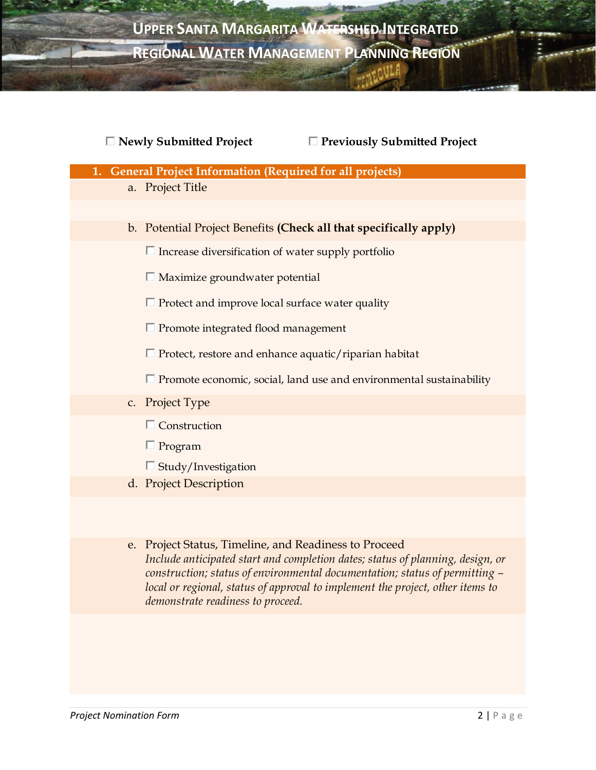

|    | $\Box$ Newly Submitted Project<br>$\Box$ Previously Submitted Project                                                                                                                                                                                                                                    |  |  |
|----|----------------------------------------------------------------------------------------------------------------------------------------------------------------------------------------------------------------------------------------------------------------------------------------------------------|--|--|
| 1. | <b>General Project Information (Required for all projects)</b>                                                                                                                                                                                                                                           |  |  |
|    | a. Project Title                                                                                                                                                                                                                                                                                         |  |  |
|    |                                                                                                                                                                                                                                                                                                          |  |  |
|    | b. Potential Project Benefits (Check all that specifically apply)                                                                                                                                                                                                                                        |  |  |
|    | $\Box$ Increase diversification of water supply portfolio                                                                                                                                                                                                                                                |  |  |
|    | $\Box$ Maximize groundwater potential                                                                                                                                                                                                                                                                    |  |  |
|    | $\Box$ Protect and improve local surface water quality                                                                                                                                                                                                                                                   |  |  |
|    | $\Box$ Promote integrated flood management                                                                                                                                                                                                                                                               |  |  |
|    | $\Box$ Protect, restore and enhance aquatic/riparian habitat                                                                                                                                                                                                                                             |  |  |
|    | $\Box$ Promote economic, social, land use and environmental sustainability                                                                                                                                                                                                                               |  |  |
| C. | Project Type                                                                                                                                                                                                                                                                                             |  |  |
|    | $\Box$ Construction                                                                                                                                                                                                                                                                                      |  |  |
|    | $\Box$ Program                                                                                                                                                                                                                                                                                           |  |  |
|    | $\Box$ Study/Investigation                                                                                                                                                                                                                                                                               |  |  |
|    | d. Project Description                                                                                                                                                                                                                                                                                   |  |  |
|    |                                                                                                                                                                                                                                                                                                          |  |  |
|    | e. Project Status, Timeline, and Readiness to Proceed<br>Include anticipated start and completion dates; status of planning, design, or<br>construction; status of environmental documentation; status of permitting -<br>local or regional, status of approval to implement the project, other items to |  |  |

*demonstrate readiness to proceed.*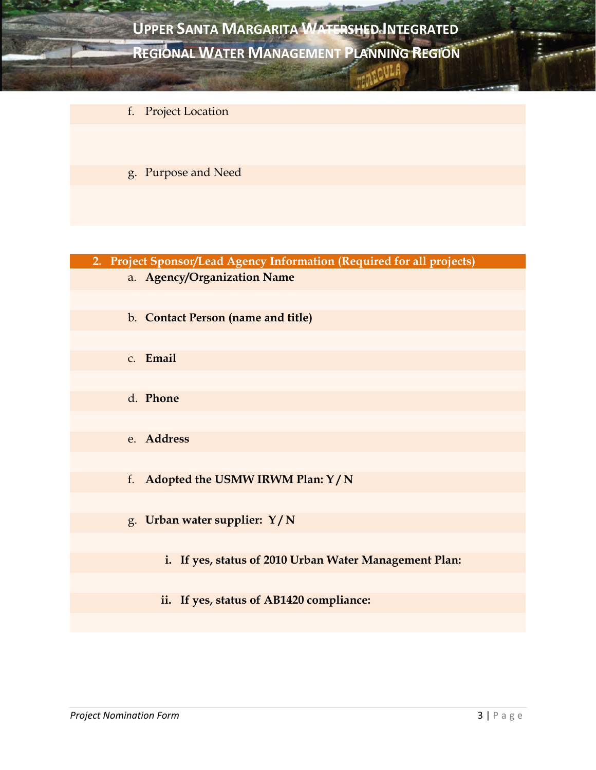

- f. Project Location
- g. Purpose and Need

| 2. Project Sponsor/Lead Agency Information (Required for all projects) |  |  |
|------------------------------------------------------------------------|--|--|
| a. Agency/Organization Name                                            |  |  |
|                                                                        |  |  |
| b. Contact Person (name and title)                                     |  |  |
|                                                                        |  |  |
| c. Email                                                               |  |  |
|                                                                        |  |  |
| d. Phone                                                               |  |  |
|                                                                        |  |  |
| e. Address                                                             |  |  |
|                                                                        |  |  |
| f. Adopted the USMW IRWM Plan: Y/N                                     |  |  |
|                                                                        |  |  |
| g. Urban water supplier: Y/N                                           |  |  |

- **i. If yes, status of 2010 Urban Water Management Plan:**
- **ii. If yes, status of AB1420 compliance:**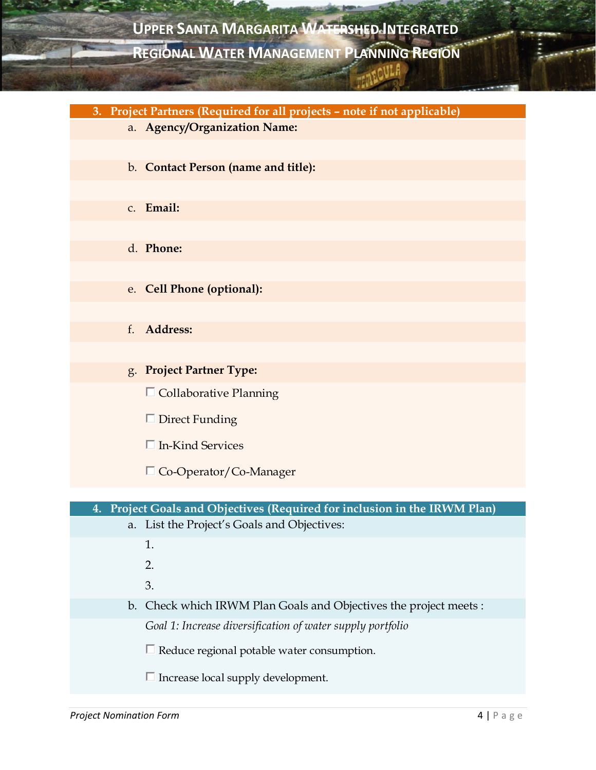**3. Project Partners (Required for all projects – note if not applicable)** a. **Agency/Organization Name:**  b. **Contact Person (name and title):**  c. **Email:**  d. **Phone:** e. **Cell Phone (optional):**  f. **Address:**  g. **Project Partner Type:**   $\Box$  Collaborative Planning  $\Box$  Direct Funding  $\Box$  In-Kind Services Co-Operator/Co-Manager **4. Project Goals and Objectives (Required for inclusion in the IRWM Plan)** a. List the Project's Goals and Objectives: 1. 2. 3. b. Check which IRWM Plan Goals and Objectives the project meets : *Goal 1: Increase diversification of water supply portfolio*  $\Box$  Reduce regional potable water consumption.  $\Box$  Increase local supply development.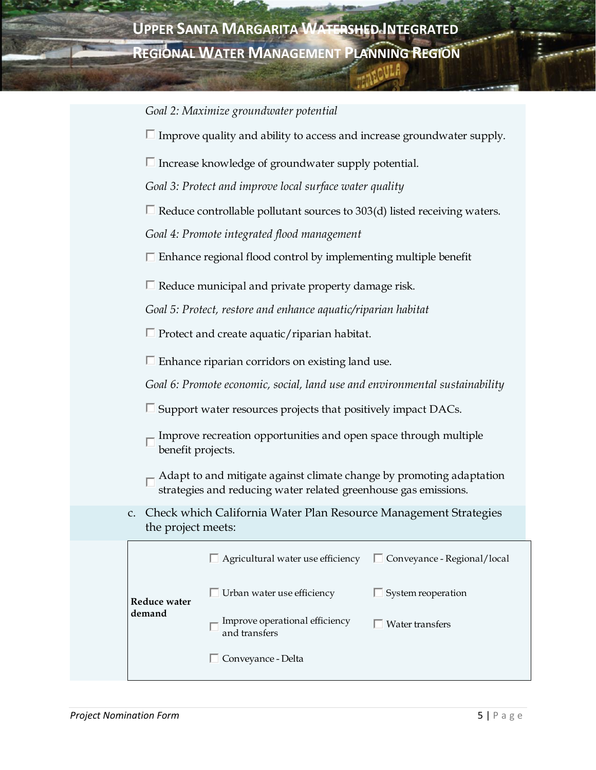*Goal 2: Maximize groundwater potential*

 $\Box$  Improve quality and ability to access and increase groundwater supply.

 $\Box$  Increase knowledge of groundwater supply potential.

*Goal 3: Protect and improve local surface water quality*

 $\Box$  Reduce controllable pollutant sources to 303(d) listed receiving waters.

*Goal 4: Promote integrated flood management*

 $\Box$  Enhance regional flood control by implementing multiple benefit

 $\Box$  Reduce municipal and private property damage risk.

*Goal 5: Protect, restore and enhance aquatic/riparian habitat*

 $\Box$  Protect and create aquatic/riparian habitat.

 $\Box$  Enhance riparian corridors on existing land use.

*Goal 6: Promote economic, social, land use and environmental sustainability*

 $\square$  Support water resources projects that positively impact DACs.

Improve recreation opportunities and open space through multiple benefit projects.

 $\Box$  Adapt to and mitigate against climate change by promoting adaptation strategies and reducing water related greenhouse gas emissions.

c. Check which California Water Plan Resource Management Strategies the project meets:

|  | Reduce water<br>demand | $\Box$ Agricultural water use efficiency        | $\Box$ Conveyance - Regional/local |
|--|------------------------|-------------------------------------------------|------------------------------------|
|  |                        | $\Box$ Urban water use efficiency               | System reoperation                 |
|  |                        | Improve operational efficiency<br>and transfers | Water transfers                    |
|  |                        | □ Conveyance - Delta                            |                                    |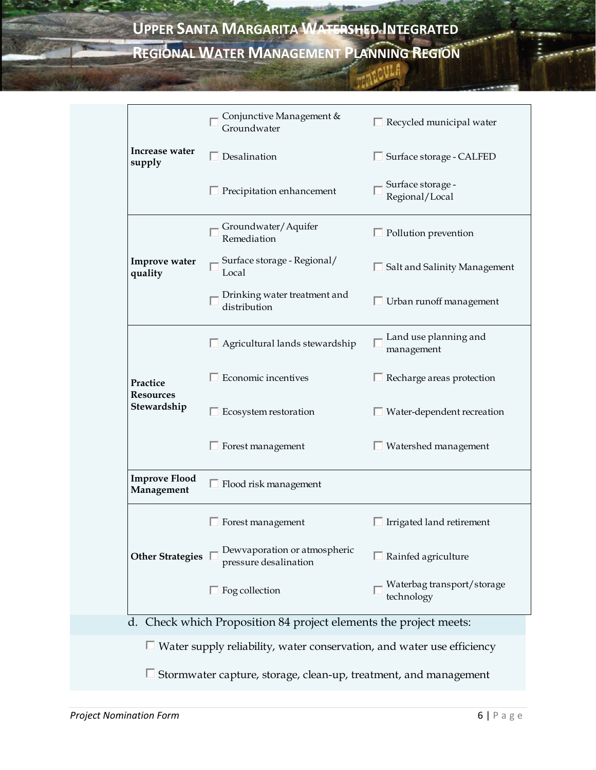**CONTRACTOR** 

Ţ.

|                                                                         | Conjunctive Management &<br>Groundwater                                       | $\Box$ Recycled municipal water          |  |
|-------------------------------------------------------------------------|-------------------------------------------------------------------------------|------------------------------------------|--|
| Increase water<br>supply                                                | $\Box$ Desalination                                                           | □ Surface storage - CALFED               |  |
|                                                                         | $\Box$ Precipitation enhancement                                              | Surface storage -<br>Regional/Local      |  |
|                                                                         | Groundwater/Aquifer<br>Remediation                                            | $\Box$ Pollution prevention              |  |
| Improve water<br>quality                                                | Surface storage - Regional/<br>Local                                          | $\Box$ Salt and Salinity Management      |  |
|                                                                         | Drinking water treatment and<br>distribution                                  | $\Box$ Urban runoff management           |  |
|                                                                         | $\Box$ Agricultural lands stewardship                                         | Land use planning and<br>management      |  |
| Practice<br><b>Resources</b>                                            | Economic incentives                                                           | $\Box$ Recharge areas protection         |  |
| Stewardship                                                             | $\Box$ Ecosystem restoration                                                  | $\Box$ Water-dependent recreation        |  |
|                                                                         | $\Box$ Forest management                                                      | $\Box$ Watershed management              |  |
| <b>Improve Flood</b><br>Management                                      | $\Box$ Flood risk management                                                  |                                          |  |
|                                                                         | Forest management                                                             | Irrigated land retirement                |  |
| <b>Other Strategies</b>                                                 | Dewyaporation or atmospheric<br>pressure desalination                         | Rainfed agriculture                      |  |
|                                                                         | $\Box$ Fog collection                                                         | Waterbag transport/storage<br>technology |  |
| d.                                                                      | Check which Proposition 84 project elements the project meets:                |                                          |  |
|                                                                         | $\Box$ Water supply reliability, water conservation, and water use efficiency |                                          |  |
|                                                                         |                                                                               |                                          |  |
| $\Box$ Stormwater capture, storage, clean-up, treatment, and management |                                                                               |                                          |  |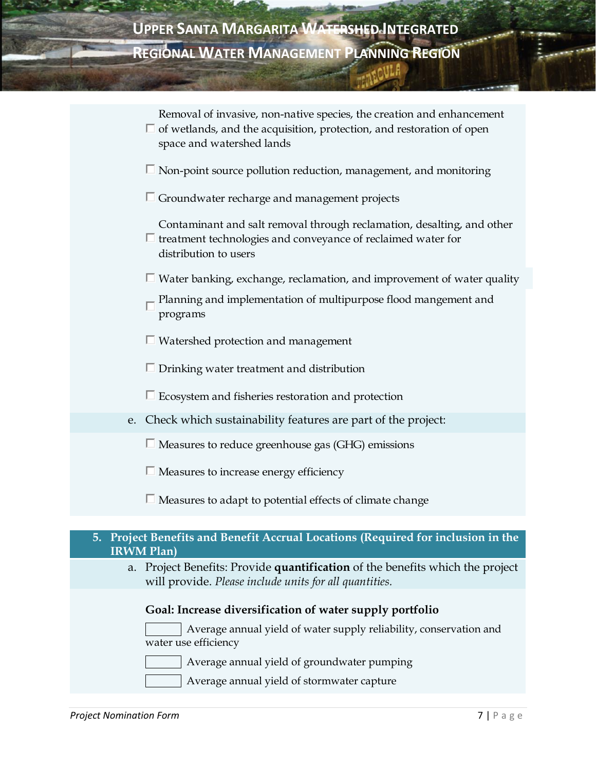|    | Removal of invasive, non-native species, the creation and enhancement<br>$\Box$ of wetlands, and the acquisition, protection, and restoration of open<br>space and watershed lands |
|----|------------------------------------------------------------------------------------------------------------------------------------------------------------------------------------|
|    | $\Box$ Non-point source pollution reduction, management, and monitoring                                                                                                            |
|    | $\Box$ Groundwater recharge and management projects                                                                                                                                |
|    | Contaminant and salt removal through reclamation, desalting, and other<br>$\Box$ treatment technologies and conveyance of reclaimed water for<br>distribution to users             |
|    | $\Box$ Water banking, exchange, reclamation, and improvement of water quality                                                                                                      |
|    | Planning and implementation of multipurpose flood mangement and<br>programs                                                                                                        |
|    | $\Box$ Watershed protection and management                                                                                                                                         |
|    | $\Box$ Drinking water treatment and distribution                                                                                                                                   |
|    | $\Box$ Ecosystem and fisheries restoration and protection                                                                                                                          |
|    | e. Check which sustainability features are part of the project:                                                                                                                    |
|    | $\Box$ Measures to reduce greenhouse gas (GHG) emissions                                                                                                                           |
|    | $\Box$ Measures to increase energy efficiency                                                                                                                                      |
|    | $\Box$ Measures to adapt to potential effects of climate change                                                                                                                    |
|    |                                                                                                                                                                                    |
|    | 5. Project Benefits and Benefit Accrual Locations (Required for inclusion in the<br><b>IRWM Plan)</b>                                                                              |
| a. | Project Benefits: Provide quantification of the benefits which the project<br>will provide. Please include units for all quantities.                                               |
|    | Goal: Increase diversification of water supply portfolio                                                                                                                           |
|    | Average annual yield of water supply reliability, conservation and<br>water use efficiency                                                                                         |

Average annual yield of groundwater pumping

Average annual yield of stormwater capture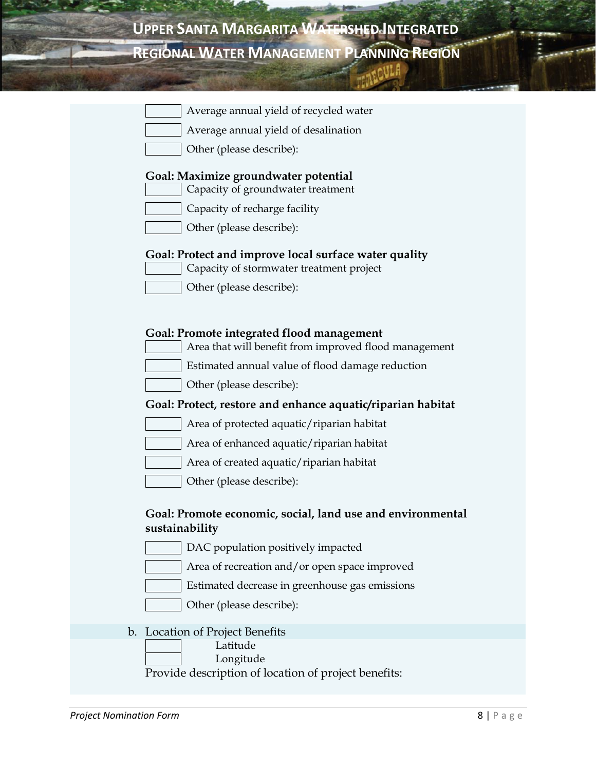| UPPER SANTA MARGARITA WATERSHED INTEGRATED       |  |
|--------------------------------------------------|--|
| <b>REGIONAL WATER MANAGEMENT PLANNING REGION</b> |  |

| Average annual yield of recycled water                                                                    |
|-----------------------------------------------------------------------------------------------------------|
| Average annual yield of desalination                                                                      |
| Other (please describe):                                                                                  |
| <b>Goal: Maximize groundwater potential</b><br>Capacity of groundwater treatment                          |
| Capacity of recharge facility                                                                             |
| Other (please describe):                                                                                  |
| Goal: Protect and improve local surface water quality<br>Capacity of stormwater treatment project         |
| Other (please describe):                                                                                  |
|                                                                                                           |
| <b>Goal: Promote integrated flood management</b><br>Area that will benefit from improved flood management |
| Estimated annual value of flood damage reduction                                                          |
| Other (please describe):                                                                                  |
| Goal: Protect, restore and enhance aquatic/riparian habitat                                               |
| Area of protected aquatic/riparian habitat                                                                |
| Area of enhanced aquatic/riparian habitat                                                                 |
| Area of created aquatic/riparian habitat                                                                  |
| Other (please describe):                                                                                  |
| Goal: Promote economic, social, land use and environmental<br>sustainability                              |
| DAC population positively impacted                                                                        |
| Area of recreation and/or open space improved                                                             |
| Estimated decrease in greenhouse gas emissions                                                            |
| Other (please describe):                                                                                  |
| Location of Project Benefits                                                                              |
| Latitude                                                                                                  |
| Longitude<br>Provide description of location of project benefits:                                         |
|                                                                                                           |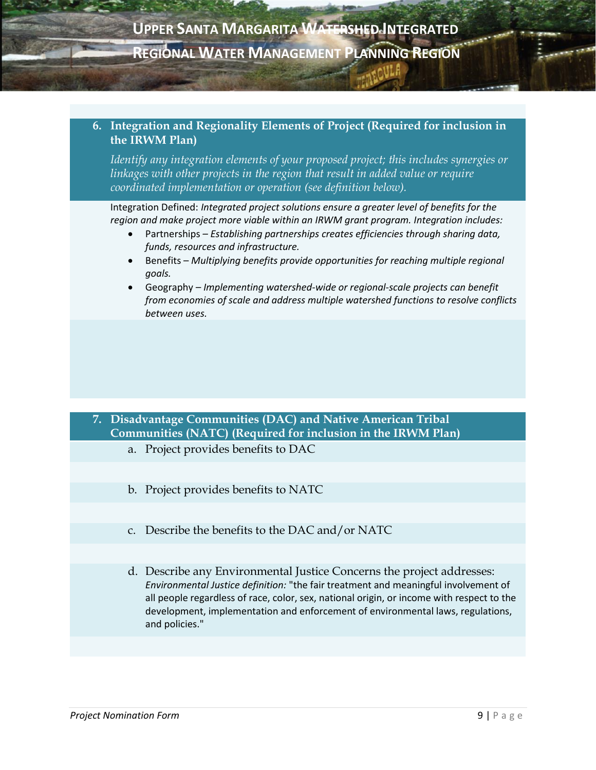#### **6. Integration and Regionality Elements of Project (Required for inclusion in the IRWM Plan)**

*Identify any integration elements of your proposed project; this includes synergies or linkages with other projects in the region that result in added value or require coordinated implementation or operation (see definition below).* 

Integration Defined: *Integrated project solutions ensure a greater level of benefits for the region and make project more viable within an IRWM grant program. Integration includes:* 

- Partnerships *– Establishing partnerships creates efficiencies through sharing data, funds, resources and infrastructure.*
- **•** Benefits *Multiplying benefits provide opportunities for reaching multiple regional goals.*
- Geography *– Implementing watershed-wide or regional-scale projects can benefit from economies of scale and address multiple watershed functions to resolve conflicts between uses.*

### **7. Disadvantage Communities (DAC) and Native American Tribal Communities (NATC) (Required for inclusion in the IRWM Plan)**

- a. Project provides benefits to DAC
- b. Project provides benefits to NATC
- c. Describe the benefits to the DAC and/or NATC
- d. Describe any Environmental Justice Concerns the project addresses: *Environmental Justice definition:* "the fair treatment and meaningful involvement of all people regardless of race, color, sex, national origin, or income with respect to the development, implementation and enforcement of environmental laws, regulations, and policies."